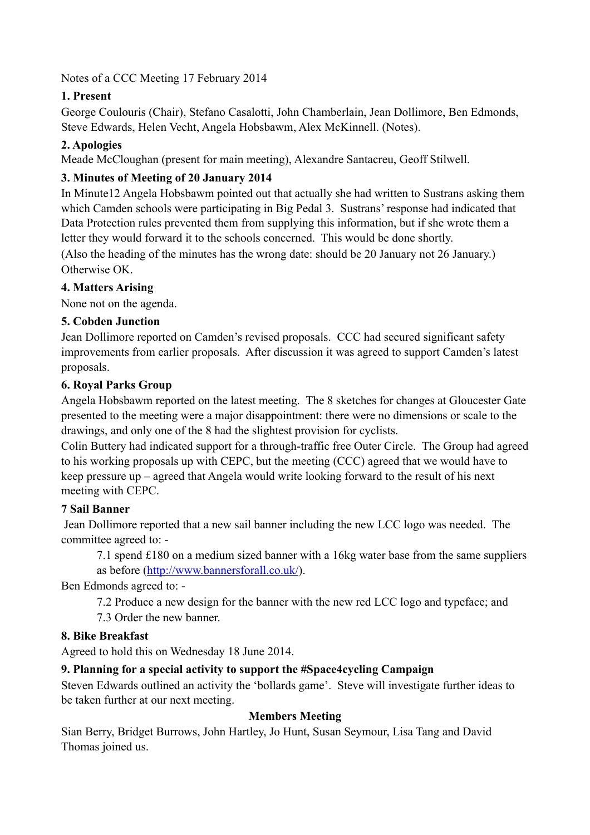Notes of a CCC Meeting 17 February 2014

# **1. Present**

George Coulouris (Chair), Stefano Casalotti, John Chamberlain, Jean Dollimore, Ben Edmonds, Steve Edwards, Helen Vecht, Angela Hobsbawm, Alex McKinnell. (Notes).

# **2. Apologies**

Meade McCloughan (present for main meeting), Alexandre Santacreu, Geoff Stilwell.

# **3. Minutes of Meeting of 20 January 2014**

In Minute12 Angela Hobsbawm pointed out that actually she had written to Sustrans asking them which Camden schools were participating in Big Pedal 3. Sustrans' response had indicated that Data Protection rules prevented them from supplying this information, but if she wrote them a letter they would forward it to the schools concerned. This would be done shortly.

(Also the heading of the minutes has the wrong date: should be 20 January not 26 January.) Otherwise OK.

#### **4. Matters Arising**

None not on the agenda.

#### **5. Cobden Junction**

Jean Dollimore reported on Camden's revised proposals. CCC had secured significant safety improvements from earlier proposals. After discussion it was agreed to support Camden's latest proposals.

#### **6. Royal Parks Group**

Angela Hobsbawm reported on the latest meeting. The 8 sketches for changes at Gloucester Gate presented to the meeting were a major disappointment: there were no dimensions or scale to the drawings, and only one of the 8 had the slightest provision for cyclists.

Colin Buttery had indicated support for a through-traffic free Outer Circle. The Group had agreed to his working proposals up with CEPC, but the meeting (CCC) agreed that we would have to keep pressure up – agreed that Angela would write looking forward to the result of his next meeting with CEPC.

## **7 Sail Banner**

 Jean Dollimore reported that a new sail banner including the new LCC logo was needed. The committee agreed to: -

7.1 spend £180 on a medium sized banner with a 16kg water base from the same suppliers as before [\(http://www.bannersforall.co.uk/](http://www.bannersforall.co.uk/)).

Ben Edmonds agreed to: -

7.2 Produce a new design for the banner with the new red LCC logo and typeface; and

7.3 Order the new banner.

## **8. Bike Breakfast**

Agreed to hold this on Wednesday 18 June 2014.

## **9. Planning for a special activity to support the #Space4cycling Campaign**

Steven Edwards outlined an activity the 'bollards game'. Steve will investigate further ideas to be taken further at our next meeting.

## **Members Meeting**

Sian Berry, Bridget Burrows, John Hartley, Jo Hunt, Susan Seymour, Lisa Tang and David Thomas joined us.